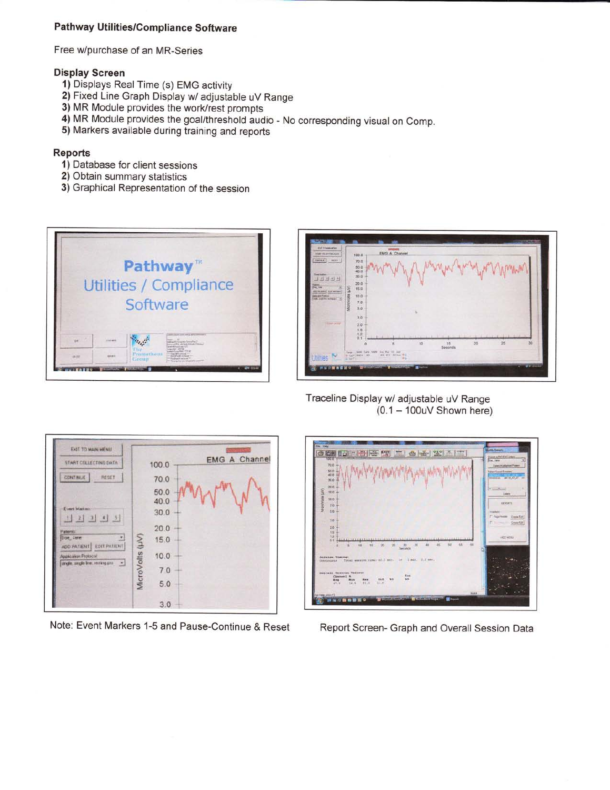# Pathway Utilities/Compliance Software

Free w/purchase of an MR-Series

### **Display Screen**

- 1) Displays Real Time (s) EMG activity
- 2) Fixed Line Graph Display w/ adjustable uV Range
- 3) MR Module provides the work/rest prompts
- 4) MR Module provides the goal/threshold audio No corresponding visual on Comp.
- 5) Markers available during training and reports

#### **Reports**

- 1) Database for client sessions
- 2) Obtain summary statistics
- 3) Graphical Representation of the session





Traceline Display w/ adjustable uV Range  $(0.1 - 100uV$  Shown here)



Note: Event Markers 1-5 and Pause-Continue & Reset



Report Screen- Graph and Overall Session Data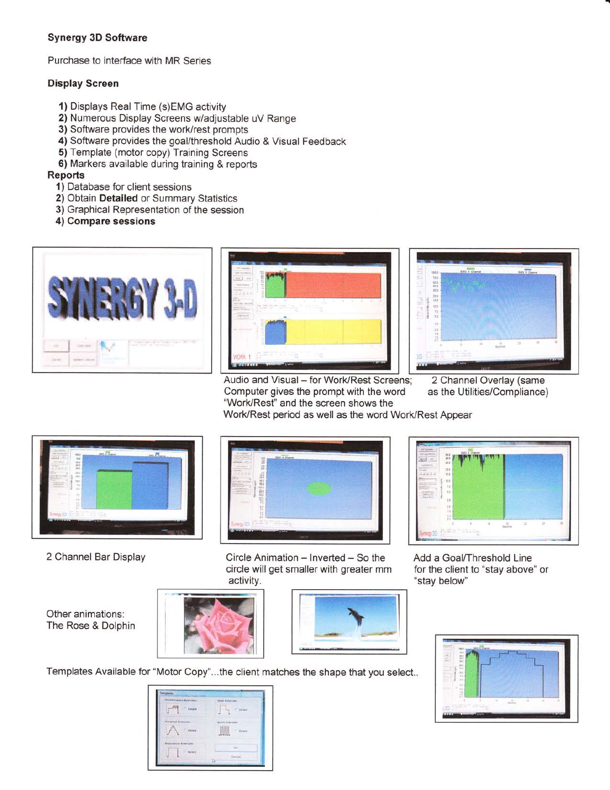# Synergy 3D Software

Purchase to interface with MR Series

### Display Screen

- 1) Displays Real Time (s)EMG activity
- 2) Numerous Display Screens w/adjustable uV Range
- 3) Software provides the work/rest prompts
- 4) Software provides the goal/threshold Audio & Visual Feedback
- 5) Template (motor copy) Training Screens
- 6) Markers available during training & reports

#### Reports

- 1) Database for client sessions
- 2) Obtain Detailed or Summary Statistics
- 3) Graphical Representation of the session
- 4) Compare sessions





Audio and Visual – for Work/Rest Screens; 2 Channel Overlay (same<br>Computer gives the prompt with the word as the Utilities/Compliance) Computer gives the prompt with the word "Work/Rest" and the screen shows the



Work/Rest period as well as the word Work/Rest Appear



2 Channel Bar Display



Circle Animation - Inverted - So the circle will get smaller with greater mm activity.



Add a Goal/Threshold Line for the client to "stay above" or "stay below"

Other animations: The Rose & Dolphin







Templates Available for "Motor Copy"...the client matches the shape that you select..